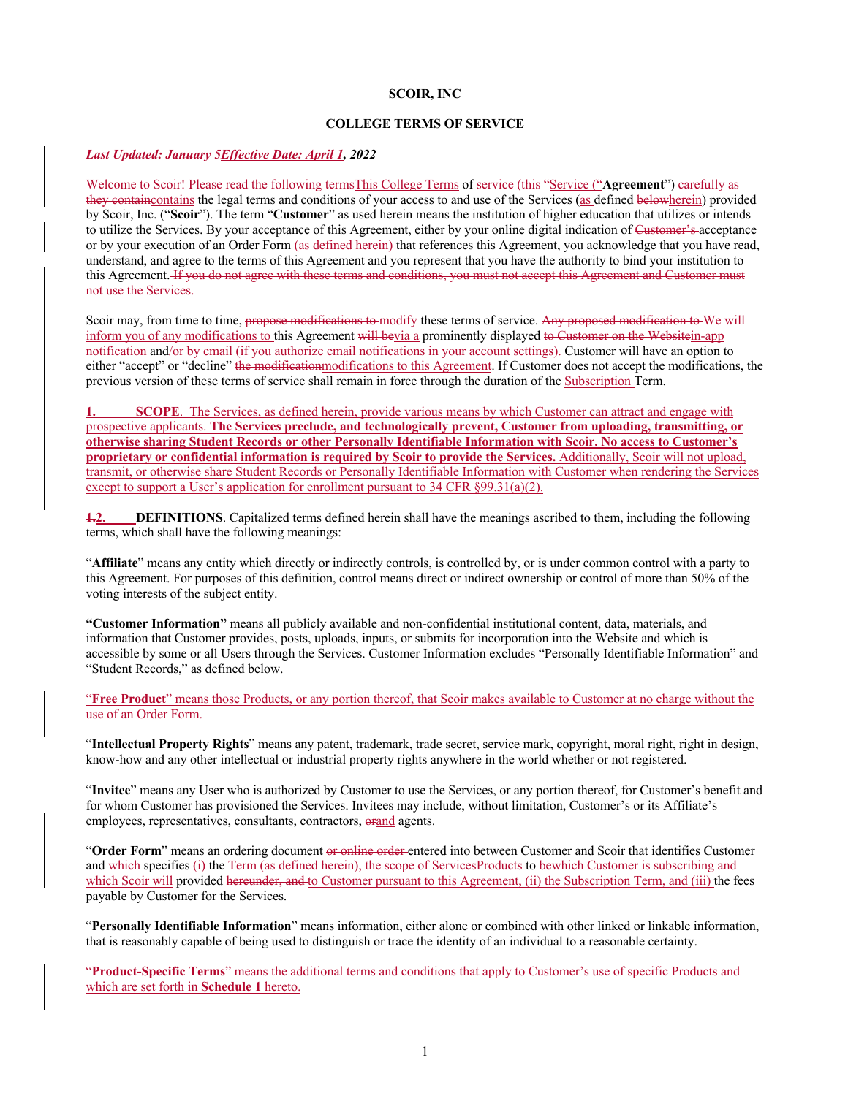#### **SCOIR, INC**

#### **COLLEGE TERMS OF SERVICE**

#### *Last Updated: January 5Effective Date: April 1, 2022*

Welcome to Scoir! Please read the following termsThis College Terms of service (this "Service ("**Agreement**") carefully as they containe ontains the legal terms and conditions of your access to and use of the Services (as defined belowherein) provided by Scoir, Inc. ("**Scoir**"). The term "**Customer**" as used herein means the institution of higher education that utilizes or intends to utilize the Services. By your acceptance of this Agreement, either by your online digital indication of Customer's acceptance or by your execution of an Order Form (as defined herein) that references this Agreement, you acknowledge that you have read, understand, and agree to the terms of this Agreement and you represent that you have the authority to bind your institution to this Agreement. If you do not agree with these terms and conditions, you must not accept this Agreement and Customer must not use the Services.

Scoir may, from time to time, propose modifications to modify these terms of service. Any proposed modification to We will inform you of any modifications to this Agreement will bevia a prominently displayed to Customer on the Websitein-app notification and/or by email (if you authorize email notifications in your account settings). Customer will have an option to either "accept" or "decline" the modificationmodifications to this Agreement. If Customer does not accept the modifications, the previous version of these terms of service shall remain in force through the duration of the Subscription Term.

**SCOPE**. The Services, as defined herein, provide various means by which Customer can attract and engage with prospective applicants. **The Services preclude, and technologically prevent, Customer from uploading, transmitting, or otherwise sharing Student Records or other Personally Identifiable Information with Scoir. No access to Customer's proprietary or confidential information is required by Scoir to provide the Services.** Additionally, Scoir will not upload, transmit, or otherwise share Student Records or Personally Identifiable Information with Customer when rendering the Services except to support a User's application for enrollment pursuant to 34 CFR §99.31(a)(2).

**1.2. DEFINITIONS**. Capitalized terms defined herein shall have the meanings ascribed to them, including the following terms, which shall have the following meanings:

"**Affiliate**" means any entity which directly or indirectly controls, is controlled by, or is under common control with a party to this Agreement. For purposes of this definition, control means direct or indirect ownership or control of more than 50% of the voting interests of the subject entity.

**"Customer Information"** means all publicly available and non-confidential institutional content, data, materials, and information that Customer provides, posts, uploads, inputs, or submits for incorporation into the Website and which is accessible by some or all Users through the Services. Customer Information excludes "Personally Identifiable Information" and "Student Records," as defined below.

"**Free Product**" means those Products, or any portion thereof, that Scoir makes available to Customer at no charge without the use of an Order Form.

"**Intellectual Property Rights**" means any patent, trademark, trade secret, service mark, copyright, moral right, right in design, know-how and any other intellectual or industrial property rights anywhere in the world whether or not registered.

"Invitee" means any User who is authorized by Customer to use the Services, or any portion thereof, for Customer's benefit and for whom Customer has provisioned the Services. Invitees may include, without limitation, Customer's or its Affiliate's employees, representatives, consultants, contractors, orand agents.

"**Order Form**" means an ordering document or online order entered into between Customer and Scoir that identifies Customer and which specifies (i) the Term (as defined herein), the scope of ServicesProducts to bewhich Customer is subscribing and which Scoir will provided hereunder, and to Customer pursuant to this Agreement, (ii) the Subscription Term, and (iii) the fees payable by Customer for the Services.

"**Personally Identifiable Information**" means information, either alone or combined with other linked or linkable information, that is reasonably capable of being used to distinguish or trace the identity of an individual to a reasonable certainty.

"**Product-Specific Terms**" means the additional terms and conditions that apply to Customer's use of specific Products and which are set forth in **Schedule 1** hereto.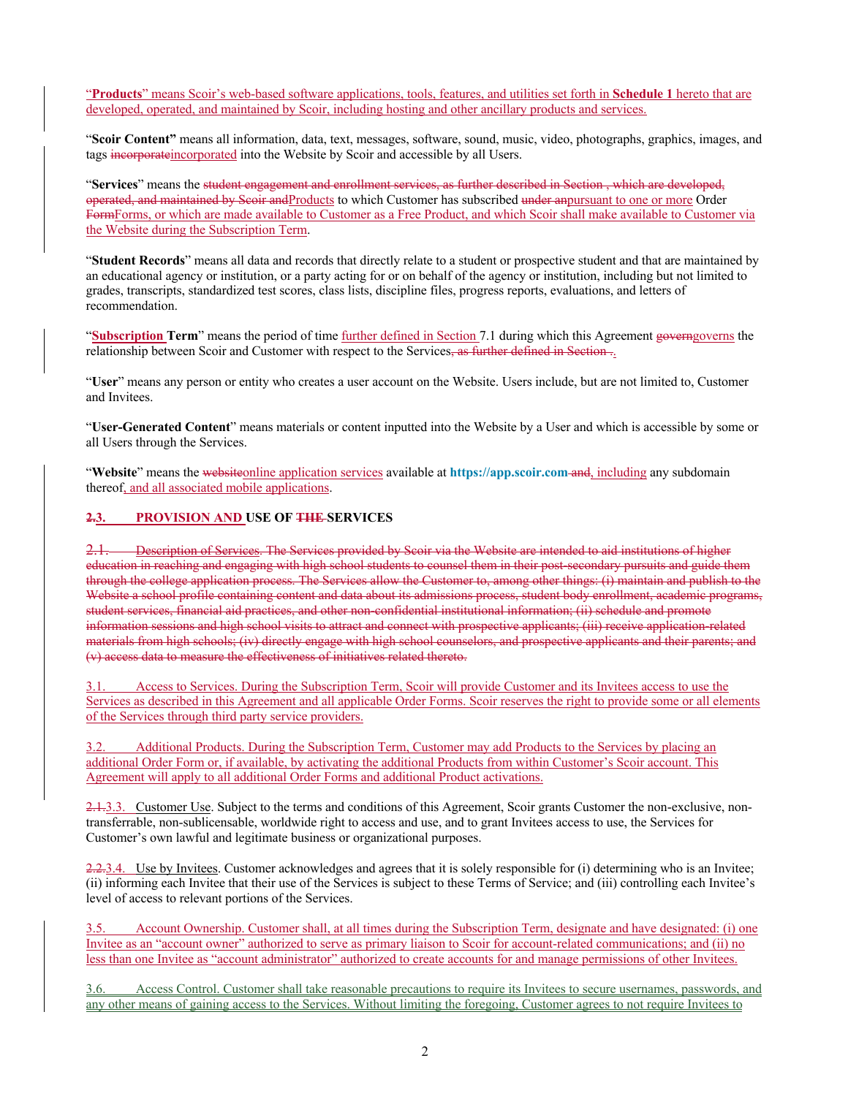"**Products**" means Scoir's web-based software applications, tools, features, and utilities set forth in **Schedule 1** hereto that are developed, operated, and maintained by Scoir, including hosting and other ancillary products and services.

"**Scoir Content"** means all information, data, text, messages, software, sound, music, video, photographs, graphics, images, and tags incorporateincorporated into the Website by Scoir and accessible by all Users.

"**Services**" means the student engagement and enrollment services, as further described in Section , which are developed, operated, and maintained by Scoir andProducts to which Customer has subscribed under anpursuant to one or more Order FormForms, or which are made available to Customer as a Free Product, and which Scoir shall make available to Customer via the Website during the Subscription Term.

"**Student Records**" means all data and records that directly relate to a student or prospective student and that are maintained by an educational agency or institution, or a party acting for or on behalf of the agency or institution, including but not limited to grades, transcripts, standardized test scores, class lists, discipline files, progress reports, evaluations, and letters of recommendation.

"**Subscription Term**" means the period of time further defined in Section 7.1 during which this Agreement governgoverns the relationship between Scoir and Customer with respect to the Services, as further defined in Section...

"**User**" means any person or entity who creates a user account on the Website. Users include, but are not limited to, Customer and Invitees.

"**User-Generated Content**" means materials or content inputted into the Website by a User and which is accessible by some or all Users through the Services.

"**Website**" means the websiteonline application services available at **https://app.scoir.com** and, including any subdomain thereof, and all associated mobile applications.

#### **2.3. PROVISION AND USE OF THE SERVICES**

2.1. Description of Services. The Services provided by Scoir via the Website are intended to aid institutions of higher education in reaching and engaging with high school students to counsel them in their post-secondary pursuits and guide them through the college application process. The Services allow the Customer to, among other things: (i) maintain and publish to the Website a school profile containing content and data about its admissions process, student body enrollment, academic programs, student services, financial aid practices, and other non-confidential institutional information; (ii) schedule and promote information sessions and high school visits to attract and connect with prospective applicants; (iii) receive application-related materials from high schools; (iv) directly engage with high school counselors, and prospective applicants and their parents; and (v) access data to measure the effectiveness of initiatives related thereto.

3.1. Access to Services. During the Subscription Term, Scoir will provide Customer and its Invitees access to use the Services as described in this Agreement and all applicable Order Forms. Scoir reserves the right to provide some or all elements of the Services through third party service providers.

3.2. Additional Products. During the Subscription Term, Customer may add Products to the Services by placing an additional Order Form or, if available, by activating the additional Products from within Customer's Scoir account. This Agreement will apply to all additional Order Forms and additional Product activations.

2.1.3.3. Customer Use. Subject to the terms and conditions of this Agreement, Scoir grants Customer the non-exclusive, nontransferrable, non-sublicensable, worldwide right to access and use, and to grant Invitees access to use, the Services for Customer's own lawful and legitimate business or organizational purposes.

2.2.3.4. Use by Invitees. Customer acknowledges and agrees that it is solely responsible for (i) determining who is an Invitee; (ii) informing each Invitee that their use of the Services is subject to these Terms of Service; and (iii) controlling each Invitee's level of access to relevant portions of the Services.

3.5. Account Ownership. Customer shall, at all times during the Subscription Term, designate and have designated: (i) one Invitee as an "account owner" authorized to serve as primary liaison to Scoir for account-related communications; and (ii) no less than one Invitee as "account administrator" authorized to create accounts for and manage permissions of other Invitees.

3.6. Access Control. Customer shall take reasonable precautions to require its Invitees to secure usernames, passwords, and any other means of gaining access to the Services. Without limiting the foregoing, Customer agrees to not require Invitees to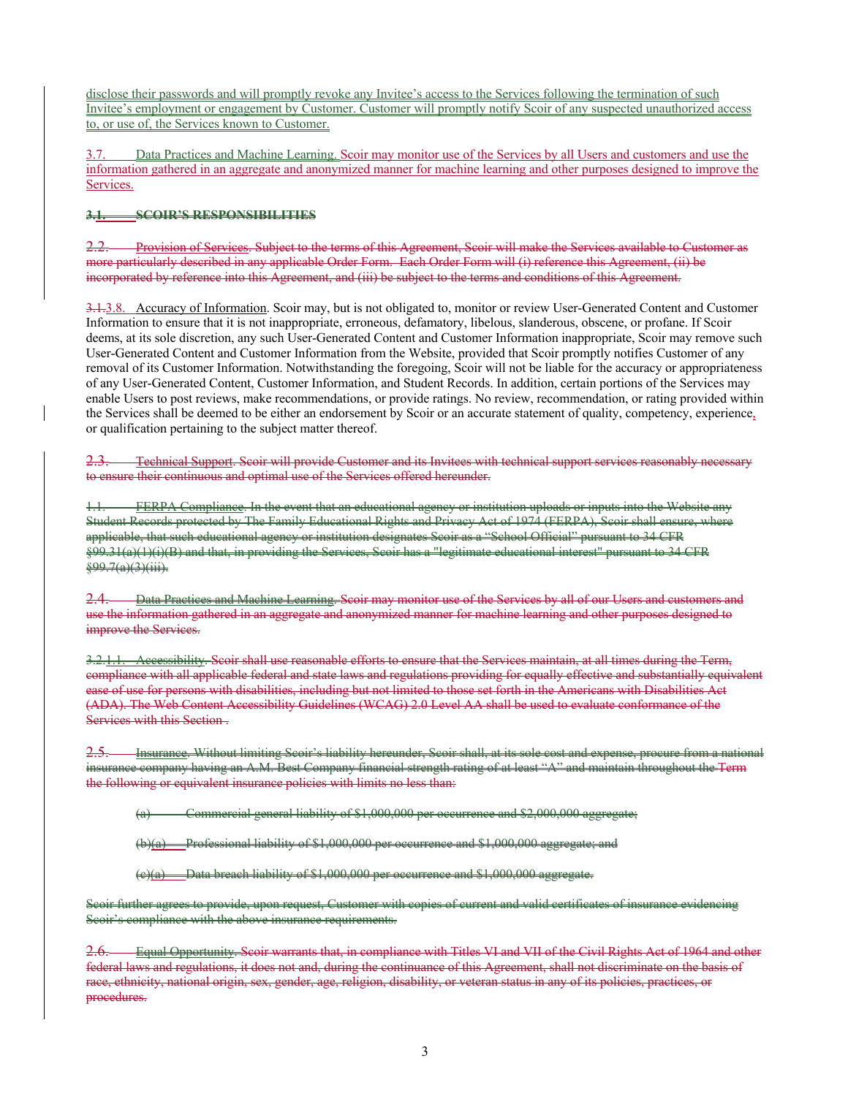disclose their passwords and will promptly revoke any Invitee's access to the Services following the termination of such Invitee's employment or engagement by Customer. Customer will promptly notify Scoir of any suspected unauthorized access to, or use of, the Services known to Customer.

3.7. Data Practices and Machine Learning. Scoir may monitor use of the Services by all Users and customers and use the information gathered in an aggregate and anonymized manner for machine learning and other purposes designed to improve the Services.

#### **3.1. SCOIR'S RESPONSIBILITIES**

2.2. Provision of Services. Subject to the terms of this Agreement, Scoir will make the Services available to Customer as more particularly described in any applicable Order Form. Each Order Form will (i) reference this Agreement, (ii) be incorporated by reference into this Agreement, and (iii) be subject to the terms and conditions of this Agreement.

3.1.3.8. Accuracy of Information. Scoir may, but is not obligated to, monitor or review User-Generated Content and Customer Information to ensure that it is not inappropriate, erroneous, defamatory, libelous, slanderous, obscene, or profane. If Scoir deems, at its sole discretion, any such User-Generated Content and Customer Information inappropriate, Scoir may remove such User-Generated Content and Customer Information from the Website, provided that Scoir promptly notifies Customer of any removal of its Customer Information. Notwithstanding the foregoing, Scoir will not be liable for the accuracy or appropriateness of any User-Generated Content, Customer Information, and Student Records. In addition, certain portions of the Services may enable Users to post reviews, make recommendations, or provide ratings. No review, recommendation, or rating provided within the Services shall be deemed to be either an endorsement by Scoir or an accurate statement of quality, competency, experience, or qualification pertaining to the subject matter thereof.

Technical Support. Scoir will provide Customer and its Invitees with technical support services reasonably necessary to ensure their continuous and optimal use of the Services offered hereunder.

1.1. FERPA Compliance. In the event that an educational agency or institution uploads or inputs into the Website any Student Records protected by The Family Educational Rights and Privacy Act of 1974 (FERPA), Scoir shall ensure, where applicable, that such educational agency or institution designates Scoir as a "School Official" pursuant to 34 CFR §99.31(a)(1)(i)(B) and that, in providing the Services, Scoir has a "legitimate educational interest" pursuant to 34 CFR  $\frac{299.7(a)(3)(iii)}{2}$ 

2.4. Data Practices and Machine Learning. Scoir may monitor use of the Services by all of our Users and customers and use the information gathered in an aggregate and anonymized manner for machine learning and other purposes designed to improve the Services.

3.2.1.1. Accessibility. Scoir shall use reasonable efforts to ensure that the Services maintain, at all times during the Term, compliance with all applicable federal and state laws and regulations providing for equally effective and substantially equivalent ease of use for persons with disabilities, including but not limited to those set forth in the Americans with Disabilities Act (ADA). The Web Content Accessibility Guidelines (WCAG) 2.0 Level AA shall be used to evaluate conformance of the Services with this Section .

Insurance. Without limiting Scoir's liability hereunder, Scoir shall, at its sole urance company having an A.M. Best Company financial strength rating of at least "A" and maintain throughout the Term the following or equivalent insurance policies with limits no less than:

Commercial general liability of \$1,000,000 per occurrence and \$2,000,000 aggregate

(b)(a) Professional liability of \$1,000,000 per occurrence and \$1,000,000 aggregate; and

 $(e)(a)$  Data breach liability of \$1,000,000 per occurrence and \$1,000,000 aggregate.

Scoir further agrees to provide, upon request, Customer with copies of current and valid certificates of insurance evidencing Scoir's compliance with the above insurance requirements.

2.6. Equal Opportunity. Scoir warrants that, in compliance with Titles VI and VII of the Civil Rights Act of 1964 and other federal laws and regulations, it does not and, during the continuance of this Agreement, shall not discriminate on the basis of race, ethnicity, national origin, sex, gender, age, religion, disability, or veteran status in any of its policies, practices, or procedures.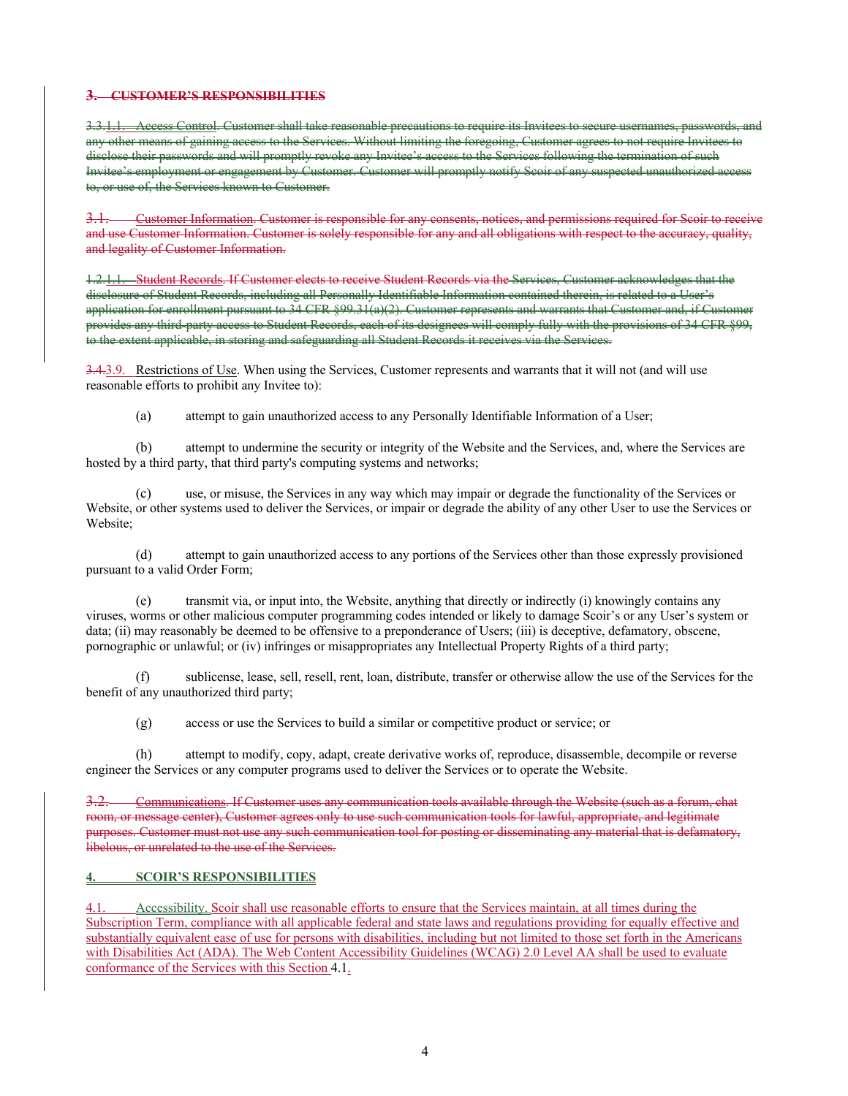## **3. CUSTOMER'S RESPONSIBILITIES**

3.3.1.1. Access Control. Customer shall take reasonable precautions to require its Invitees to secure usernames, passwords, and eass to the Services. Without limiting the foregoing, ese their passwords and will promptly revoke any Invitee's access to the Services following the termination of such Invitee's employment or engagement by Customer. Customer will promptly notify Scoir of any suspected unauthorized of, the Services know

3.1. Customer Information. Customer is responsible for any consents, notices, and permissions required for Scoir to receive and use Customer Information. Customer is solely responsible for any and all obligations with respect to the accuracy, quality, and legality of Customer Information.

-Student Records. If Customer elects to receive Student Records via the Services, Customer acknowledges that the ure of Student Records, including all Personally Identifiable Information contained therein application for enrollment pursuant to 34 CFR §99.31(a)(2). Customer represents and warrants that Customer and, if Customer provides any third-party access to Student Records, each of its designees will comply fully with the provisions of 34 CFR §99, extent applicable, in storing and safeguarding all Student Records it receives via the Services.

3.4.3.9. Restrictions of Use. When using the Services, Customer represents and warrants that it will not (and will use reasonable efforts to prohibit any Invitee to):

(a) attempt to gain unauthorized access to any Personally Identifiable Information of a User;

(b) attempt to undermine the security or integrity of the Website and the Services, and, where the Services are hosted by a third party, that third party's computing systems and networks;

(c) use, or misuse, the Services in any way which may impair or degrade the functionality of the Services or Website, or other systems used to deliver the Services, or impair or degrade the ability of any other User to use the Services or Website;

(d) attempt to gain unauthorized access to any portions of the Services other than those expressly provisioned pursuant to a valid Order Form;

(e) transmit via, or input into, the Website, anything that directly or indirectly (i) knowingly contains any viruses, worms or other malicious computer programming codes intended or likely to damage Scoir's or any User's system or data; (ii) may reasonably be deemed to be offensive to a preponderance of Users; (iii) is deceptive, defamatory, obscene, pornographic or unlawful; or (iv) infringes or misappropriates any Intellectual Property Rights of a third party;

(f) sublicense, lease, sell, resell, rent, loan, distribute, transfer or otherwise allow the use of the Services for the benefit of any unauthorized third party;

(g) access or use the Services to build a similar or competitive product or service; or

(h) attempt to modify, copy, adapt, create derivative works of, reproduce, disassemble, decompile or reverse engineer the Services or any computer programs used to deliver the Services or to operate the Website.

3.2. Communications. If Customer uses any communication tools available through the Website (such as a forum, chat room, or message center), Customer agrees only to use such communication tools for lawful, appropriate, and legitimate purposes. Customer must not use any such communication tool for posting or disseminating any material that is defamatory, libelous, or unrelated to the use of the Services.

#### **4. SCOIR'S RESPONSIBILITIES**

Accessibility. Scoir shall use reasonable efforts to ensure that the Services maintain, at all times during the Subscription Term, compliance with all applicable federal and state laws and regulations providing for equally effective and substantially equivalent ease of use for persons with disabilities, including but not limited to those set forth in the Americans with Disabilities Act (ADA). The Web Content Accessibility Guidelines (WCAG) 2.0 Level AA shall be used to evaluate conformance of the Services with this Section 4.1.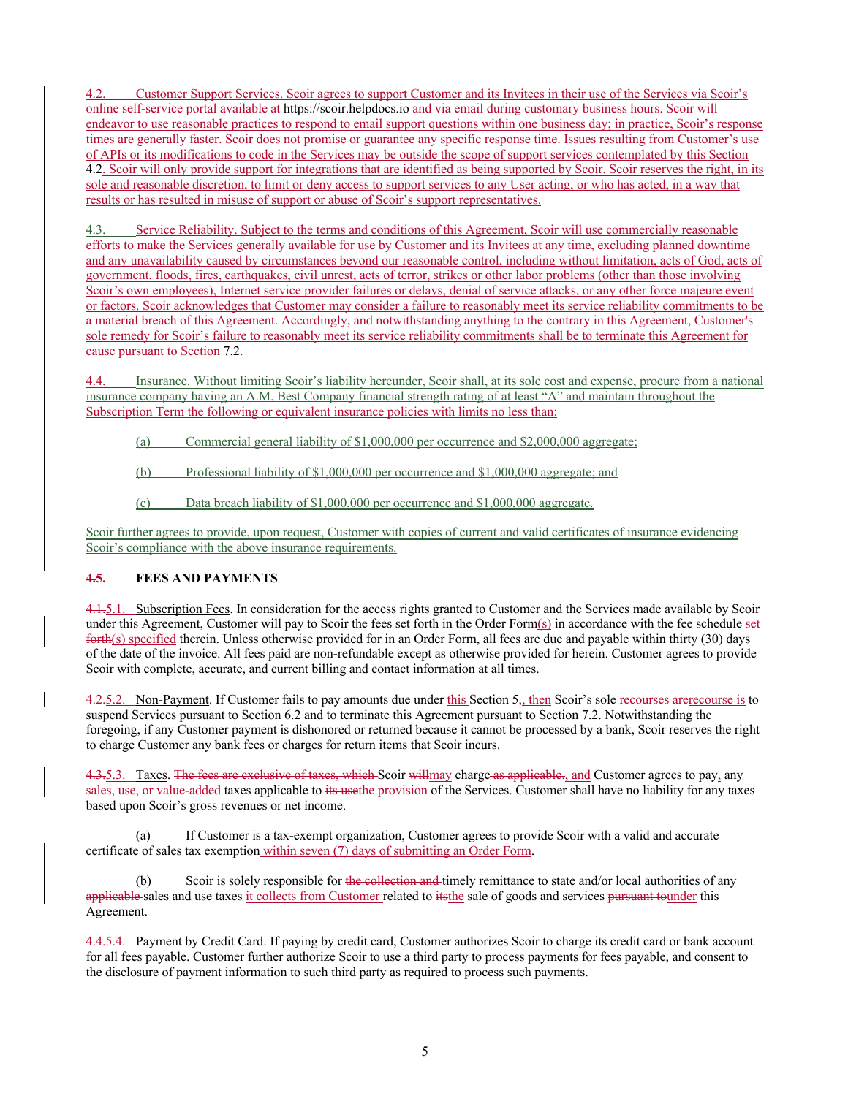4.2. Customer Support Services. Scoir agrees to support Customer and its Invitees in their use of the Services via Scoir's online self-service portal available at https://scoir.helpdocs.io and via email during customary business hours. Scoir will endeavor to use reasonable practices to respond to email support questions within one business day; in practice, Scoir's response times are generally faster. Scoir does not promise or guarantee any specific response time. Issues resulting from Customer's use of APIs or its modifications to code in the Services may be outside the scope of support services contemplated by this Section 4.2. Scoir will only provide support for integrations that are identified as being supported by Scoir. Scoir reserves the right, in its sole and reasonable discretion, to limit or deny access to support services to any User acting, or who has acted, in a way that results or has resulted in misuse of support or abuse of Scoir's support representatives.

Service Reliability. Subject to the terms and conditions of this Agreement, Scoir will use commercially reasonable efforts to make the Services generally available for use by Customer and its Invitees at any time, excluding planned downtime and any unavailability caused by circumstances beyond our reasonable control, including without limitation, acts of God, acts of government, floods, fires, earthquakes, civil unrest, acts of terror, strikes or other labor problems (other than those involving Scoir's own employees), Internet service provider failures or delays, denial of service attacks, or any other force majeure event or factors. Scoir acknowledges that Customer may consider a failure to reasonably meet its service reliability commitments to be a material breach of this Agreement. Accordingly, and notwithstanding anything to the contrary in this Agreement, Customer's sole remedy for Scoir's failure to reasonably meet its service reliability commitments shall be to terminate this Agreement for cause pursuant to Section 7.2.

4.4. Insurance. Without limiting Scoir's liability hereunder, Scoir shall, at its sole cost and expense, procure from a national insurance company having an A.M. Best Company financial strength rating of at least "A" and maintain throughout the Subscription Term the following or equivalent insurance policies with limits no less than:

- (a) Commercial general liability of \$1,000,000 per occurrence and \$2,000,000 aggregate;
- (b) Professional liability of \$1,000,000 per occurrence and \$1,000,000 aggregate; and
- (c) Data breach liability of \$1,000,000 per occurrence and \$1,000,000 aggregate.

Scoir further agrees to provide, upon request, Customer with copies of current and valid certificates of insurance evidencing Scoir's compliance with the above insurance requirements.

## **4.5. FEES AND PAYMENTS**

4.1.5.1. Subscription Fees. In consideration for the access rights granted to Customer and the Services made available by Scoir under this Agreement, Customer will pay to Scoir the fees set forth in the Order Form(s) in accordance with the fee schedule set forth(s) specified therein. Unless otherwise provided for in an Order Form, all fees are due and payable within thirty (30) days of the date of the invoice. All fees paid are non-refundable except as otherwise provided for herein. Customer agrees to provide Scoir with complete, accurate, and current billing and contact information at all times.

 $4.25.2$ . Non-Payment. If Customer fails to pay amounts due under this Section  $5<sub>5</sub>$ , then Scoir's sole recourses are recourse is to suspend Services pursuant to Section 6.2 and to terminate this Agreement pursuant to Section 7.2. Notwithstanding the foregoing, if any Customer payment is dishonored or returned because it cannot be processed by a bank, Scoir reserves the right to charge Customer any bank fees or charges for return items that Scoir incurs.

4.3.5.3. Taxes. The fees are exclusive of taxes, which Scoir willmay charge as applicable., and Customer agrees to pay, any sales, use, or value-added taxes applicable to its usethe provision of the Services. Customer shall have no liability for any taxes based upon Scoir's gross revenues or net income.

(a) If Customer is a tax-exempt organization, Customer agrees to provide Scoir with a valid and accurate certificate of sales tax exemption within seven (7) days of submitting an Order Form.

(b) Scoir is solely responsible for the collection and timely remittance to state and/or local authorities of any applicable sales and use taxes it collects from Customer related to itsthe sale of goods and services pursuant tounder this Agreement.

4.4.5.4. Payment by Credit Card. If paying by credit card, Customer authorizes Scoir to charge its credit card or bank account for all fees payable. Customer further authorize Scoir to use a third party to process payments for fees payable, and consent to the disclosure of payment information to such third party as required to process such payments.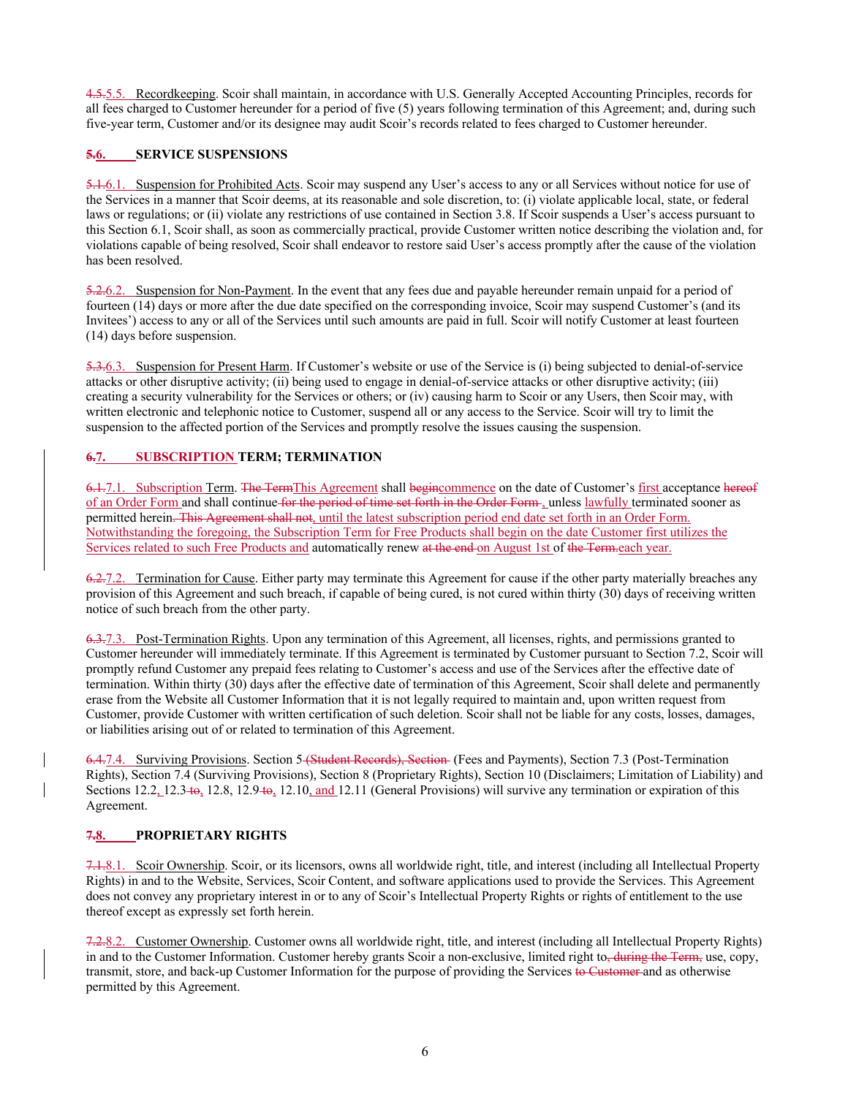4.5.5.5. Recordkeeping. Scoir shall maintain, in accordance with U.S. Generally Accepted Accounting Principles, records for all fees charged to Customer hereunder for a period of five (5) years following termination of this Agreement; and, during such five-year term, Customer and/or its designee may audit Scoir's records related to fees charged to Customer hereunder.

#### **5.6. SERVICE SUSPENSIONS**

5.1.6.1. Suspension for Prohibited Acts. Scoir may suspend any User's access to any or all Services without notice for use of the Services in a manner that Scoir deems, at its reasonable and sole discretion, to: (i) violate applicable local, state, or federal laws or regulations; or (ii) violate any restrictions of use contained in Section 3.8. If Scoir suspends a User's access pursuant to this Section 6.1, Scoir shall, as soon as commercially practical, provide Customer written notice describing the violation and, for violations capable of being resolved, Scoir shall endeavor to restore said User's access promptly after the cause of the violation has been resolved.

5.2.6.2. Suspension for Non-Payment. In the event that any fees due and payable hereunder remain unpaid for a period of fourteen (14) days or more after the due date specified on the corresponding invoice, Scoir may suspend Customer's (and its Invitees') access to any or all of the Services until such amounts are paid in full. Scoir will notify Customer at least fourteen (14) days before suspension.

5.3.6.3. Suspension for Present Harm. If Customer's website or use of the Service is (i) being subjected to denial-of-service attacks or other disruptive activity; (ii) being used to engage in denial-of-service attacks or other disruptive activity; (iii) creating a security vulnerability for the Services or others; or (iv) causing harm to Scoir or any Users, then Scoir may, with written electronic and telephonic notice to Customer, suspend all or any access to the Service. Scoir will try to limit the suspension to the affected portion of the Services and promptly resolve the issues causing the suspension.

## **6.7. SUBSCRIPTION TERM; TERMINATION**

6.1.7.1. Subscription Term. The Term This Agreement shall begincommence on the date of Customer's first acceptance hereof of an Order Form and shall continue for the period of time set forth in the Order Form , unless lawfully terminated sooner as permitted herein. This Agreement shall not, until the latest subscription period end date set forth in an Order Form. Notwithstanding the foregoing, the Subscription Term for Free Products shall begin on the date Customer first utilizes the Services related to such Free Products and automatically renew at the end on August 1st of the Term.each year.

6.2.7.2. Termination for Cause. Either party may terminate this Agreement for cause if the other party materially breaches any provision of this Agreement and such breach, if capable of being cured, is not cured within thirty (30) days of receiving written notice of such breach from the other party.

6.3.7.3. Post-Termination Rights. Upon any termination of this Agreement, all licenses, rights, and permissions granted to Customer hereunder will immediately terminate. If this Agreement is terminated by Customer pursuant to Section 7.2, Scoir will promptly refund Customer any prepaid fees relating to Customer's access and use of the Services after the effective date of termination. Within thirty (30) days after the effective date of termination of this Agreement, Scoir shall delete and permanently erase from the Website all Customer Information that it is not legally required to maintain and, upon written request from Customer, provide Customer with written certification of such deletion. Scoir shall not be liable for any costs, losses, damages, or liabilities arising out of or related to termination of this Agreement.

6.4.7.4. Surviving Provisions. Section 5 (Student Records), Section (Fees and Payments), Section 7.3 (Post-Termination Rights), Section 7.4 (Surviving Provisions), Section 8 (Proprietary Rights), Section 10 (Disclaimers; Limitation of Liability) and Sections  $12.2, 12.3$  to,  $12.9$ ,  $12.9$ ,  $12.10$ , and  $12.11$  (General Provisions) will survive any termination or expiration of this Agreement.

#### **7.8. PROPRIETARY RIGHTS**

7.1.8.1. Scoir Ownership. Scoir, or its licensors, owns all worldwide right, title, and interest (including all Intellectual Property Rights) in and to the Website, Services, Scoir Content, and software applications used to provide the Services. This Agreement does not convey any proprietary interest in or to any of Scoir's Intellectual Property Rights or rights of entitlement to the use thereof except as expressly set forth herein.

7.2.8.2. Customer Ownership. Customer owns all worldwide right, title, and interest (including all Intellectual Property Rights) in and to the Customer Information. Customer hereby grants Scoir a non-exclusive, limited right to, during the Term, use, copy, transmit, store, and back-up Customer Information for the purpose of providing the Services to Customer and as otherwise permitted by this Agreement.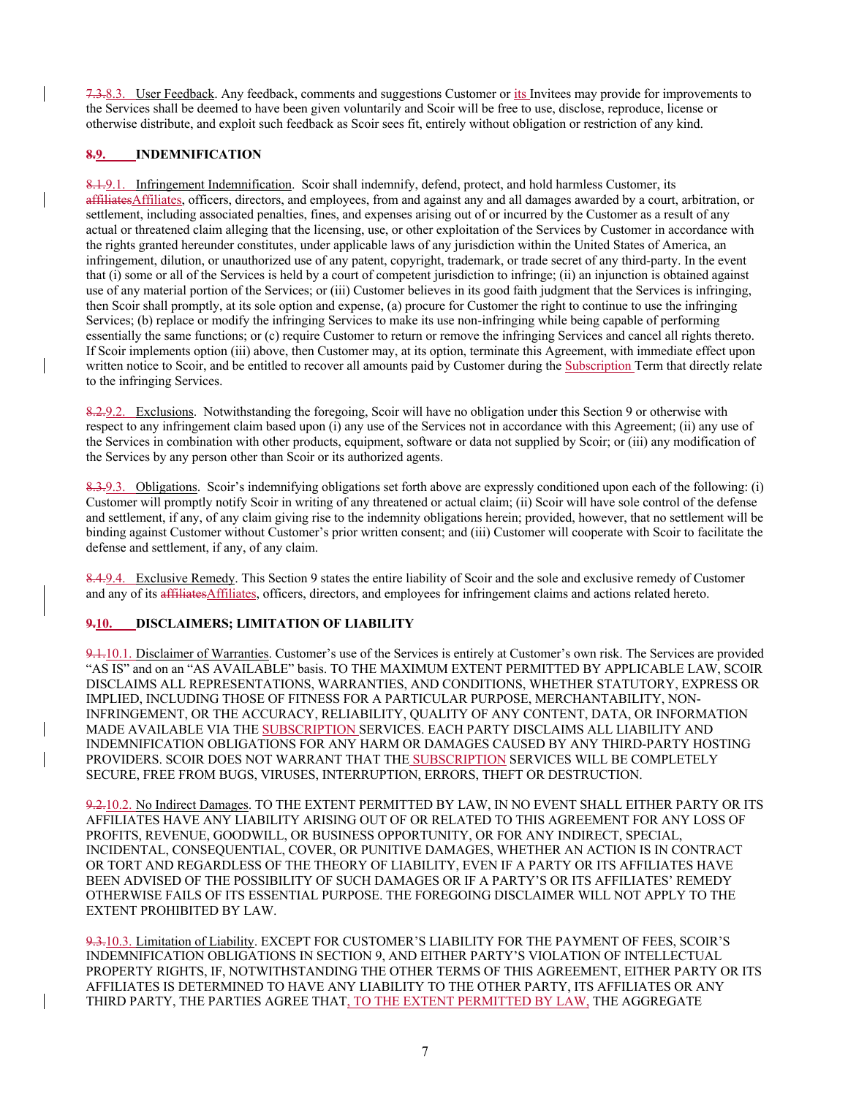7.3.8.3. User Feedback. Any feedback, comments and suggestions Customer or its Invitees may provide for improvements to the Services shall be deemed to have been given voluntarily and Scoir will be free to use, disclose, reproduce, license or otherwise distribute, and exploit such feedback as Scoir sees fit, entirely without obligation or restriction of any kind.

#### **8.9. INDEMNIFICATION**

8.1.9.1. Infringement Indemnification. Scoir shall indemnify, defend, protect, and hold harmless Customer, its affiliatesAffiliates, officers, directors, and employees, from and against any and all damages awarded by a court, arbitration, or settlement, including associated penalties, fines, and expenses arising out of or incurred by the Customer as a result of any actual or threatened claim alleging that the licensing, use, or other exploitation of the Services by Customer in accordance with the rights granted hereunder constitutes, under applicable laws of any jurisdiction within the United States of America, an infringement, dilution, or unauthorized use of any patent, copyright, trademark, or trade secret of any third-party. In the event that (i) some or all of the Services is held by a court of competent jurisdiction to infringe; (ii) an injunction is obtained against use of any material portion of the Services; or (iii) Customer believes in its good faith judgment that the Services is infringing, then Scoir shall promptly, at its sole option and expense, (a) procure for Customer the right to continue to use the infringing Services; (b) replace or modify the infringing Services to make its use non-infringing while being capable of performing essentially the same functions; or (c) require Customer to return or remove the infringing Services and cancel all rights thereto. If Scoir implements option (iii) above, then Customer may, at its option, terminate this Agreement, with immediate effect upon written notice to Scoir, and be entitled to recover all amounts paid by Customer during the Subscription Term that directly relate to the infringing Services.

8.2.9.2. Exclusions. Notwithstanding the foregoing, Scoir will have no obligation under this Section 9 or otherwise with respect to any infringement claim based upon (i) any use of the Services not in accordance with this Agreement; (ii) any use of the Services in combination with other products, equipment, software or data not supplied by Scoir; or (iii) any modification of the Services by any person other than Scoir or its authorized agents.

8.3.9.3. Obligations. Scoir's indemnifying obligations set forth above are expressly conditioned upon each of the following: (i) Customer will promptly notify Scoir in writing of any threatened or actual claim; (ii) Scoir will have sole control of the defense and settlement, if any, of any claim giving rise to the indemnity obligations herein; provided, however, that no settlement will be binding against Customer without Customer's prior written consent; and (iii) Customer will cooperate with Scoir to facilitate the defense and settlement, if any, of any claim.

8.4.9.4. Exclusive Remedy. This Section 9 states the entire liability of Scoir and the sole and exclusive remedy of Customer and any of its affiliatesAffiliates, officers, directors, and employees for infringement claims and actions related hereto.

#### **9.10. DISCLAIMERS; LIMITATION OF LIABILITY**

9.1.10.1. Disclaimer of Warranties. Customer's use of the Services is entirely at Customer's own risk. The Services are provided "AS IS" and on an "AS AVAILABLE" basis. TO THE MAXIMUM EXTENT PERMITTED BY APPLICABLE LAW, SCOIR DISCLAIMS ALL REPRESENTATIONS, WARRANTIES, AND CONDITIONS, WHETHER STATUTORY, EXPRESS OR IMPLIED, INCLUDING THOSE OF FITNESS FOR A PARTICULAR PURPOSE, MERCHANTABILITY, NON-INFRINGEMENT, OR THE ACCURACY, RELIABILITY, QUALITY OF ANY CONTENT, DATA, OR INFORMATION MADE AVAILABLE VIA THE SUBSCRIPTION SERVICES. EACH PARTY DISCLAIMS ALL LIABILITY AND INDEMNIFICATION OBLIGATIONS FOR ANY HARM OR DAMAGES CAUSED BY ANY THIRD-PARTY HOSTING PROVIDERS. SCOIR DOES NOT WARRANT THAT THE SUBSCRIPTION SERVICES WILL BE COMPLETELY SECURE, FREE FROM BUGS, VIRUSES, INTERRUPTION, ERRORS, THEFT OR DESTRUCTION.

9.2.10.2. No Indirect Damages. TO THE EXTENT PERMITTED BY LAW, IN NO EVENT SHALL EITHER PARTY OR ITS AFFILIATES HAVE ANY LIABILITY ARISING OUT OF OR RELATED TO THIS AGREEMENT FOR ANY LOSS OF PROFITS, REVENUE, GOODWILL, OR BUSINESS OPPORTUNITY, OR FOR ANY INDIRECT, SPECIAL, INCIDENTAL, CONSEQUENTIAL, COVER, OR PUNITIVE DAMAGES, WHETHER AN ACTION IS IN CONTRACT OR TORT AND REGARDLESS OF THE THEORY OF LIABILITY, EVEN IF A PARTY OR ITS AFFILIATES HAVE BEEN ADVISED OF THE POSSIBILITY OF SUCH DAMAGES OR IF A PARTY'S OR ITS AFFILIATES' REMEDY OTHERWISE FAILS OF ITS ESSENTIAL PURPOSE. THE FOREGOING DISCLAIMER WILL NOT APPLY TO THE EXTENT PROHIBITED BY LAW.

9.3.10.3. Limitation of Liability. EXCEPT FOR CUSTOMER'S LIABILITY FOR THE PAYMENT OF FEES, SCOIR'S INDEMNIFICATION OBLIGATIONS IN SECTION 9, AND EITHER PARTY'S VIOLATION OF INTELLECTUAL PROPERTY RIGHTS, IF, NOTWITHSTANDING THE OTHER TERMS OF THIS AGREEMENT, EITHER PARTY OR ITS AFFILIATES IS DETERMINED TO HAVE ANY LIABILITY TO THE OTHER PARTY, ITS AFFILIATES OR ANY THIRD PARTY, THE PARTIES AGREE THAT, TO THE EXTENT PERMITTED BY LAW, THE AGGREGATE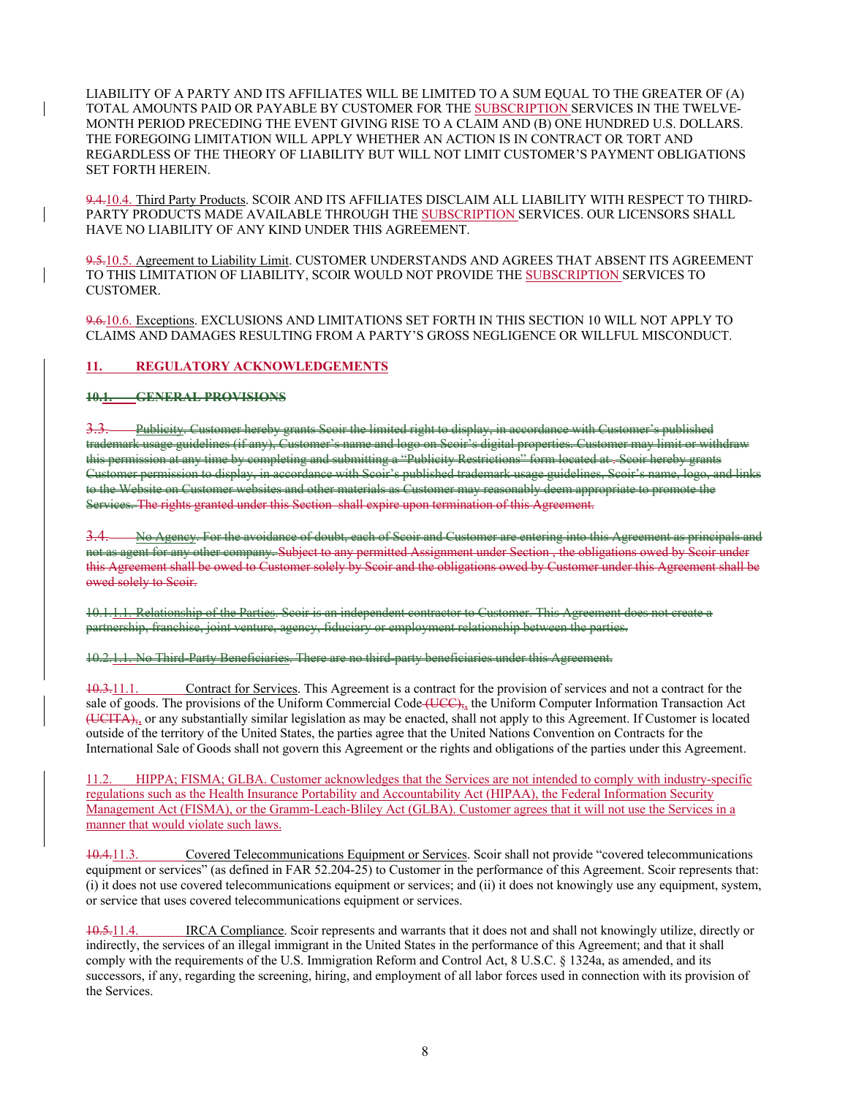LIABILITY OF A PARTY AND ITS AFFILIATES WILL BE LIMITED TO A SUM EQUAL TO THE GREATER OF (A) TOTAL AMOUNTS PAID OR PAYABLE BY CUSTOMER FOR THE SUBSCRIPTION SERVICES IN THE TWELVE-MONTH PERIOD PRECEDING THE EVENT GIVING RISE TO A CLAIM AND (B) ONE HUNDRED U.S. DOLLARS. THE FOREGOING LIMITATION WILL APPLY WHETHER AN ACTION IS IN CONTRACT OR TORT AND REGARDLESS OF THE THEORY OF LIABILITY BUT WILL NOT LIMIT CUSTOMER'S PAYMENT OBLIGATIONS SET FORTH HEREIN.

9.4.10.4. Third Party Products. SCOIR AND ITS AFFILIATES DISCLAIM ALL LIABILITY WITH RESPECT TO THIRD-PARTY PRODUCTS MADE AVAILABLE THROUGH THE SUBSCRIPTION SERVICES. OUR LICENSORS SHALL HAVE NO LIABILITY OF ANY KIND UNDER THIS AGREEMENT.

9.5.10.5. Agreement to Liability Limit. CUSTOMER UNDERSTANDS AND AGREES THAT ABSENT ITS AGREEMENT TO THIS LIMITATION OF LIABILITY, SCOIR WOULD NOT PROVIDE THE SUBSCRIPTION SERVICES TO CUSTOMER.

9.6.10.6. Exceptions. EXCLUSIONS AND LIMITATIONS SET FORTH IN THIS SECTION 10 WILL NOT APPLY TO CLAIMS AND DAMAGES RESULTING FROM A PARTY'S GROSS NEGLIGENCE OR WILLFUL MISCONDUCT.

#### **11. REGULATORY ACKNOWLEDGEMENTS**

**10.1. GENERAL PROVISIONS**

3.3. Publicity. Customer hereby grants Scoir the limited right to display, in accordance with Customer's published trademark usage guidelines (if any), Customer's name and logo on Seoir's digital properties this permission at any time by completing and submitting a "Publicity Restrictions" form located at . Customer permission to display, in accordance with Scoir's published trademark usage guidelines, Scoir's name to the Website on Customer websites and other materials as Customer may reasonably deem appro Services. The rights granted under this Section shall expire upon termination of this Agreement.

 $3.4.$  No Ageney. For the avoidance of doubt, each of Scoir and Customer are entering into this Agreement not as agent for any other company. Subject to any permitted Assignment under Section , the obligations owed by Scoir under this Agreement shall be owed to Customer solely by Scoir and the obligations owed by Customer under this Agreement shall be owed solely to Scoir.

10.1.1.1. Relationship of the Parties. Scoir is an independent contractor to Customer. partnership, franchise, joint venture, agency, fiduciary or employment relationship between the parties.

10.2.1.1. No Third-Party Beneficiaries. There are no third-party beneficiaries under this Agreement.

10.3.11.1. Contract for Services. This Agreement is a contract for the provision of services and not a contract for the sale of goods. The provisions of the Uniform Commercial Code (UCC), the Uniform Computer Information Transaction Act  $\overline{(UCHA)}$ , or any substantially similar legislation as may be enacted, shall not apply to this Agreement. If Customer is located outside of the territory of the United States, the parties agree that the United Nations Convention on Contracts for the International Sale of Goods shall not govern this Agreement or the rights and obligations of the parties under this Agreement.

11.2. HIPPA; FISMA; GLBA. Customer acknowledges that the Services are not intended to comply with industry-specific regulations such as the Health Insurance Portability and Accountability Act (HIPAA), the Federal Information Security Management Act (FISMA), or the Gramm-Leach-Bliley Act (GLBA). Customer agrees that it will not use the Services in a manner that would violate such laws.

10.4.11.3. Covered Telecommunications Equipment or Services. Scoir shall not provide "covered telecommunications equipment or services" (as defined in FAR 52.204-25) to Customer in the performance of this Agreement. Scoir represents that: (i) it does not use covered telecommunications equipment or services; and (ii) it does not knowingly use any equipment, system, or service that uses covered telecommunications equipment or services.

10.5.11.4. IRCA Compliance. Scoir represents and warrants that it does not and shall not knowingly utilize, directly or indirectly, the services of an illegal immigrant in the United States in the performance of this Agreement; and that it shall comply with the requirements of the U.S. Immigration Reform and Control Act, 8 U.S.C. § 1324a, as amended, and its successors, if any, regarding the screening, hiring, and employment of all labor forces used in connection with its provision of the Services.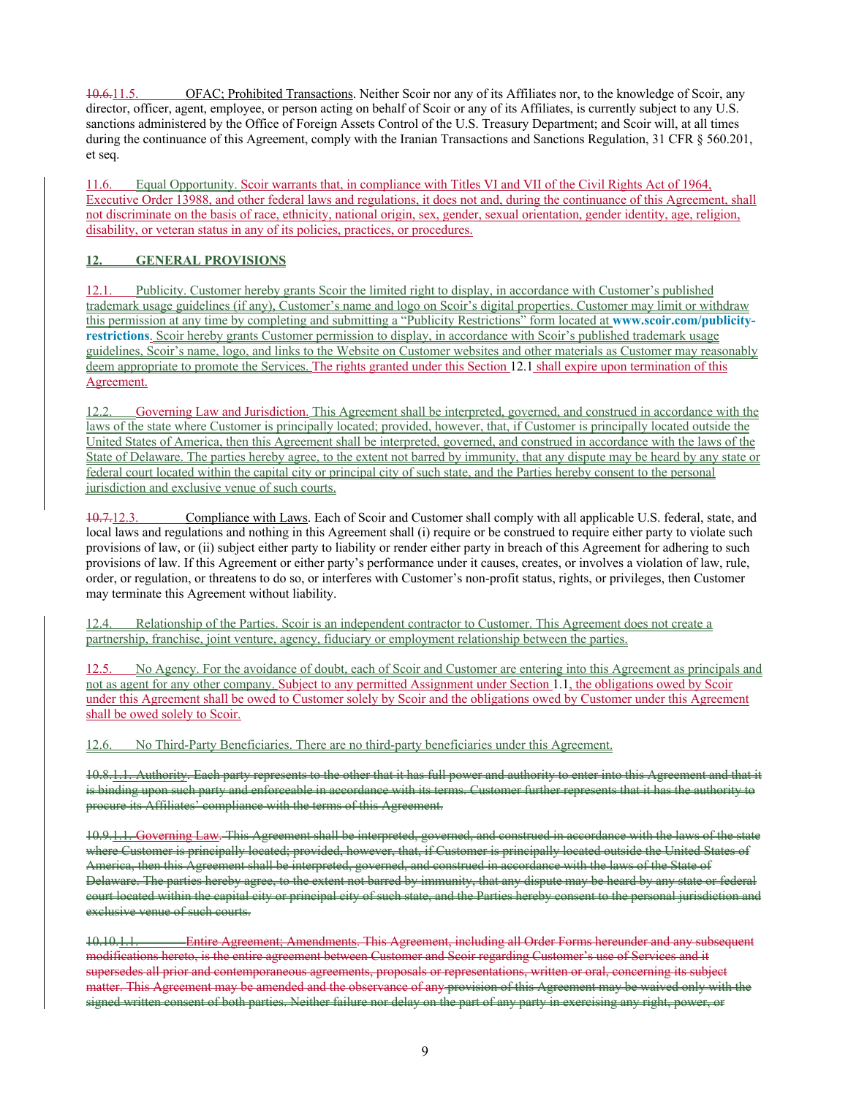10.6.11.5. OFAC; Prohibited Transactions. Neither Scoir nor any of its Affiliates nor, to the knowledge of Scoir, any director, officer, agent, employee, or person acting on behalf of Scoir or any of its Affiliates, is currently subject to any U.S. sanctions administered by the Office of Foreign Assets Control of the U.S. Treasury Department; and Scoir will, at all times during the continuance of this Agreement, comply with the Iranian Transactions and Sanctions Regulation, 31 CFR § 560.201, et seq.

11.6. Equal Opportunity. Scoir warrants that, in compliance with Titles VI and VII of the Civil Rights Act of 1964, Executive Order 13988, and other federal laws and regulations, it does not and, during the continuance of this Agreement, shall not discriminate on the basis of race, ethnicity, national origin, sex, gender, sexual orientation, gender identity, age, religion, disability, or veteran status in any of its policies, practices, or procedures.

### **12. GENERAL PROVISIONS**

12.1. Publicity. Customer hereby grants Scoir the limited right to display, in accordance with Customer's published trademark usage guidelines (if any), Customer's name and logo on Scoir's digital properties. Customer may limit or withdraw this permission at any time by completing and submitting a "Publicity Restrictions" form located at **www.scoir.com/publicityrestrictions**. Scoir hereby grants Customer permission to display, in accordance with Scoir's published trademark usage guidelines, Scoir's name, logo, and links to the Website on Customer websites and other materials as Customer may reasonably deem appropriate to promote the Services. The rights granted under this Section 12.1 shall expire upon termination of this Agreement.

12.2. Governing Law and Jurisdiction. This Agreement shall be interpreted, governed, and construed in accordance with the laws of the state where Customer is principally located; provided, however, that, if Customer is principally located outside the United States of America, then this Agreement shall be interpreted, governed, and construed in accordance with the laws of the State of Delaware. The parties hereby agree, to the extent not barred by immunity, that any dispute may be heard by any state or federal court located within the capital city or principal city of such state, and the Parties hereby consent to the personal jurisdiction and exclusive venue of such courts.

10.7.12.3. Compliance with Laws. Each of Scoir and Customer shall comply with all applicable U.S. federal, state, and local laws and regulations and nothing in this Agreement shall (i) require or be construed to require either party to violate such provisions of law, or (ii) subject either party to liability or render either party in breach of this Agreement for adhering to such provisions of law. If this Agreement or either party's performance under it causes, creates, or involves a violation of law, rule, order, or regulation, or threatens to do so, or interferes with Customer's non-profit status, rights, or privileges, then Customer may terminate this Agreement without liability.

12.4. Relationship of the Parties. Scoir is an independent contractor to Customer. This Agreement does not create a partnership, franchise, joint venture, agency, fiduciary or employment relationship between the parties.

12.5. No Agency. For the avoidance of doubt, each of Scoir and Customer are entering into this Agreement as principals and not as agent for any other company. Subject to any permitted Assignment under Section 1.1, the obligations owed by Scoir under this Agreement shall be owed to Customer solely by Scoir and the obligations owed by Customer under this Agreement shall be owed solely to Scoir.

12.6. No Third-Party Beneficiaries. There are no third-party beneficiaries under this Agreement.

10.8.1.1. Authority. Each party represents to the other that it has full power and authority to enter into this is binding upon such party and enforceable in accordance with its terms. Customer further represents that it has the authority to procure its Affiliates' compliance with the terms of this Agreement.

10.9.1.1. Governing Law. This Agreement shall be interpreted, governed, and construed in accordance with the laws of the state where Customer is principally located; provided, however, that, if Customer is principally located outside the United States of America, then this Agreement shall be interpreted, governed, and construed in accordance with the laws of the State of Delaware. The parties hereby agree, to the extent not barred by immunity, that any dispute may be heard by any state or federal court located within the capital city or principal city of such state, and the Parties hereby consent to the personal jurisdiction and exclusive venue of such courts.

10.10.1.1. Entire Agreement; Amendments. This Agreement, including all Order Forms hereunder and any subsequent modifications hereto, is the entire agreement between Customer and Scoir regarding Customer's use of Services and it supersedes all prior and contemporaneous agreements, proposals or representations, written or oral, concerning its subject matter. This Agreement may be amended and the observance of any provision of this Agreement may be waived only with the signed written consent of both parties. Neither failure nor delay on the part of any party in exercising any right, power, or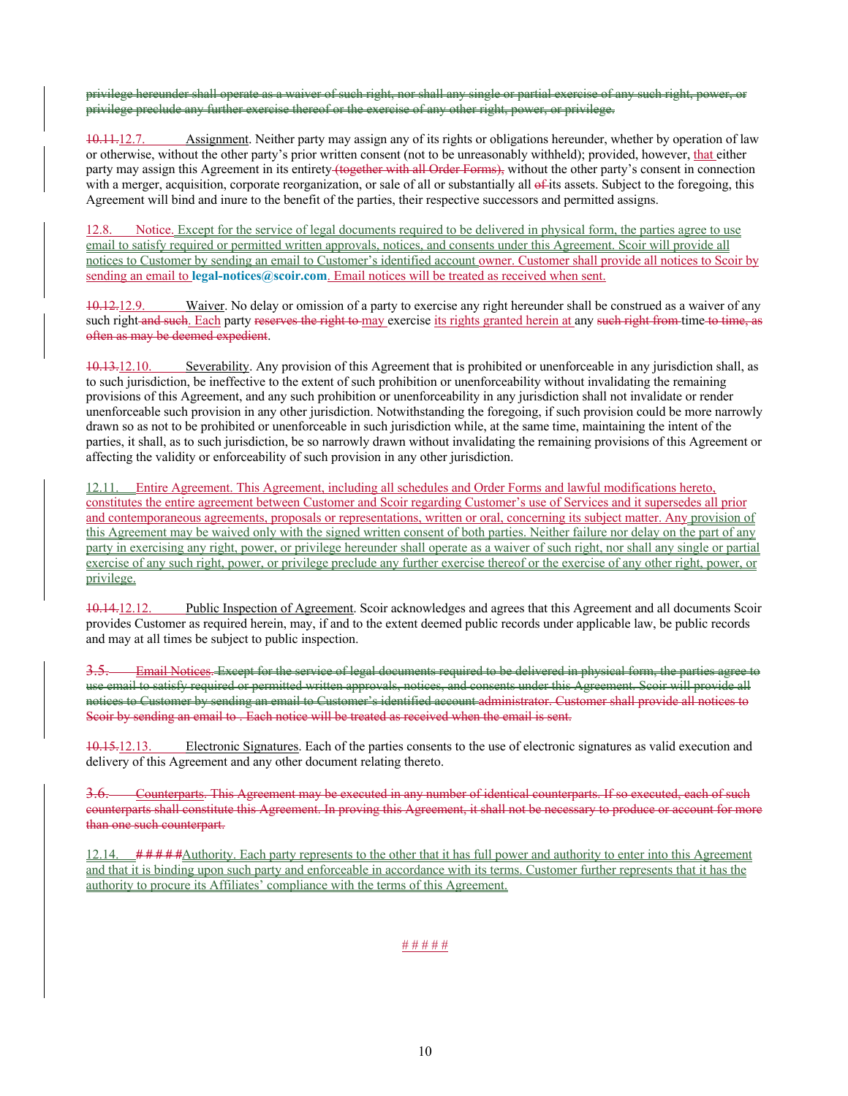privilege hereunder shall operate as a waiver of such right, nor shall any single or partial exercise of any such right, po privilege preclude any further exercise thereof or the exercise of any other right, power, or privilege.

10.11.12.7. Assignment. Neither party may assign any of its rights or obligations hereunder, whether by operation of law or otherwise, without the other party's prior written consent (not to be unreasonably withheld); provided, however, that either party may assign this Agreement in its entirety (together with all Order Forms), without the other party's consent in connection with a merger, acquisition, corporate reorganization, or sale of all or substantially all  $\epsilon$ -its assets. Subject to the foregoing, this Agreement will bind and inure to the benefit of the parties, their respective successors and permitted assigns.

Notice. Except for the service of legal documents required to be delivered in physical form, the parties agree to use email to satisfy required or permitted written approvals, notices, and consents under this Agreement. Scoir will provide all notices to Customer by sending an email to Customer's identified account owner. Customer shall provide all notices to Scoir by sending an email to **legal-notices@scoir.com**. Email notices will be treated as received when sent.

10.12.12.9. Waiver. No delay or omission of a party to exercise any right hereunder shall be construed as a waiver of any such right and such. Each party reserves the right to may exercise its rights granted herein at any such right from time to time, as often as may be deemed expedient.

10.13.12.10. Severability. Any provision of this Agreement that is prohibited or unenforceable in any jurisdiction shall, as to such jurisdiction, be ineffective to the extent of such prohibition or unenforceability without invalidating the remaining provisions of this Agreement, and any such prohibition or unenforceability in any jurisdiction shall not invalidate or render unenforceable such provision in any other jurisdiction. Notwithstanding the foregoing, if such provision could be more narrowly drawn so as not to be prohibited or unenforceable in such jurisdiction while, at the same time, maintaining the intent of the parties, it shall, as to such jurisdiction, be so narrowly drawn without invalidating the remaining provisions of this Agreement or affecting the validity or enforceability of such provision in any other jurisdiction.

12.11. Entire Agreement. This Agreement, including all schedules and Order Forms and lawful modifications hereto, constitutes the entire agreement between Customer and Scoir regarding Customer's use of Services and it supersedes all prior and contemporaneous agreements, proposals or representations, written or oral, concerning its subject matter. Any provision of this Agreement may be waived only with the signed written consent of both parties. Neither failure nor delay on the part of any party in exercising any right, power, or privilege hereunder shall operate as a waiver of such right, nor shall any single or partial exercise of any such right, power, or privilege preclude any further exercise thereof or the exercise of any other right, power, or privilege.

10.14.12.12. Public Inspection of Agreement. Scoir acknowledges and agrees that this Agreement and all documents Scoir provides Customer as required herein, may, if and to the extent deemed public records under applicable law, be public records and may at all times be subject to public inspection.

Email Notices. Except for the service of legal documents required to be delivered in physical form, the parties use email to satisfy required or permitted written approvals, notices, and consents under this Agreement. Scoir will provide all notices to Customer by sending an email to Customer's identified account administrator. Customer shall provide all notices to Scoir by sending an email to . Each notice will be treated as received when the email is sent.

10.15.12.13. Electronic Signatures. Each of the parties consents to the use of electronic signatures as valid execution and delivery of this Agreement and any other document relating thereto.

3.6. Counterparts. This Agreement may be executed in any number of identical counterparts. If so executed, each of such counterparts shall constitute this Agreement. In proving this Agreement, it shall not be necessary to produce or account for more than one such counterpart.

12.14. *# # # # #*Authority. Each party represents to the other that it has full power and authority to enter into this Agreement and that it is binding upon such party and enforceable in accordance with its terms. Customer further represents that it has the authority to procure its Affiliates' compliance with the terms of this Agreement.

#### # # # # #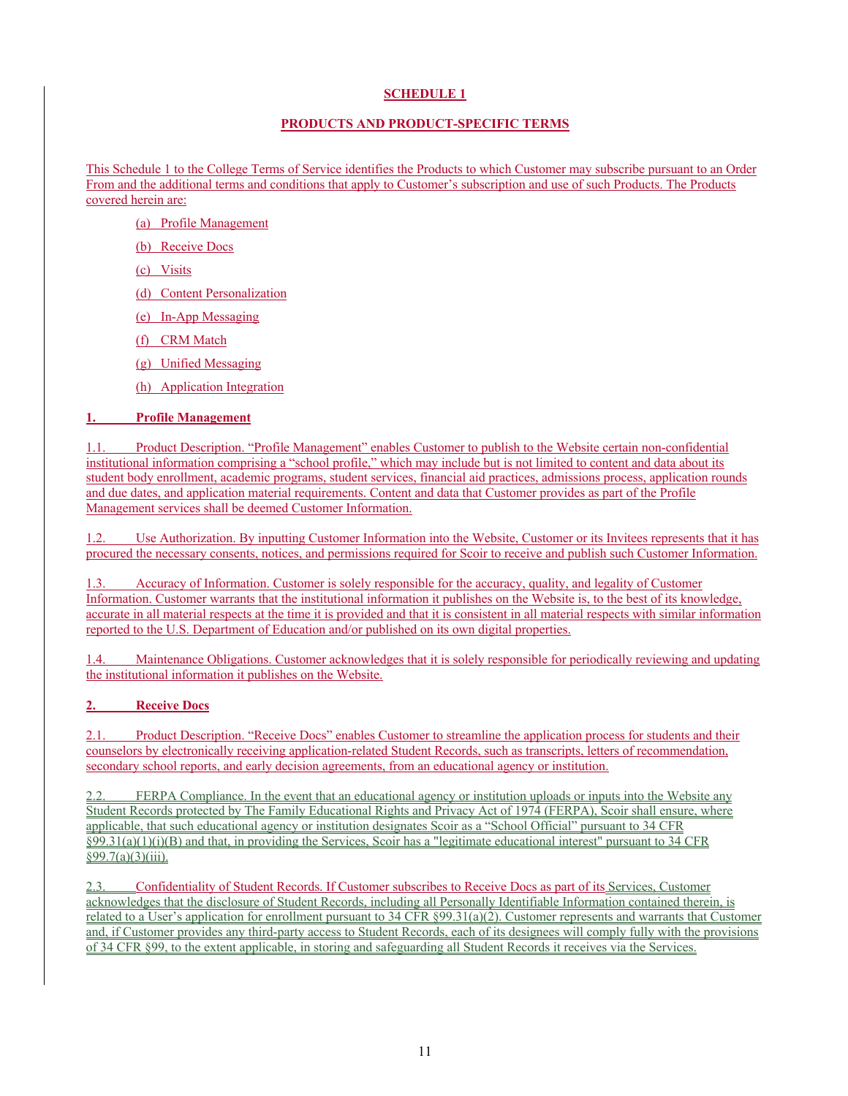## **SCHEDULE 1**

### **PRODUCTS AND PRODUCT-SPECIFIC TERMS**

This Schedule 1 to the College Terms of Service identifies the Products to which Customer may subscribe pursuant to an Order From and the additional terms and conditions that apply to Customer's subscription and use of such Products. The Products covered herein are:

- (a) Profile Management
- (b) Receive Docs
- (c) Visits
- (d) Content Personalization
- (e) In-App Messaging
- (f) CRM Match
- (g) Unified Messaging
- (h) Application Integration

## **1. Profile Management**

1.1. Product Description. "Profile Management" enables Customer to publish to the Website certain non-confidential institutional information comprising a "school profile," which may include but is not limited to content and data about its student body enrollment, academic programs, student services, financial aid practices, admissions process, application rounds and due dates, and application material requirements. Content and data that Customer provides as part of the Profile Management services shall be deemed Customer Information.

1.2. Use Authorization. By inputting Customer Information into the Website, Customer or its Invitees represents that it has procured the necessary consents, notices, and permissions required for Scoir to receive and publish such Customer Information.

Accuracy of Information. Customer is solely responsible for the accuracy, quality, and legality of Customer Information. Customer warrants that the institutional information it publishes on the Website is, to the best of its knowledge, accurate in all material respects at the time it is provided and that it is consistent in all material respects with similar information reported to the U.S. Department of Education and/or published on its own digital properties.

1.4. Maintenance Obligations. Customer acknowledges that it is solely responsible for periodically reviewing and updating the institutional information it publishes on the Website.

## **2. Receive Docs**

2.1. Product Description. "Receive Docs" enables Customer to streamline the application process for students and their counselors by electronically receiving application-related Student Records, such as transcripts, letters of recommendation, secondary school reports, and early decision agreements, from an educational agency or institution.

2.2. FERPA Compliance. In the event that an educational agency or institution uploads or inputs into the Website any Student Records protected by The Family Educational Rights and Privacy Act of 1974 (FERPA), Scoir shall ensure, where applicable, that such educational agency or institution designates Scoir as a "School Official" pursuant to 34 CFR  $\S99.31(a)(1)(i)(B)$  and that, in providing the Services, Scoir has a "legitimate educational interest" pursuant to 34 CFR §99.7(a)(3)(iii).

2.3. Confidentiality of Student Records. If Customer subscribes to Receive Docs as part of its Services, Customer acknowledges that the disclosure of Student Records, including all Personally Identifiable Information contained therein, is related to a User's application for enrollment pursuant to 34 CFR §99.31(a)(2). Customer represents and warrants that Customer and, if Customer provides any third-party access to Student Records, each of its designees will comply fully with the provisions of 34 CFR §99, to the extent applicable, in storing and safeguarding all Student Records it receives via the Services.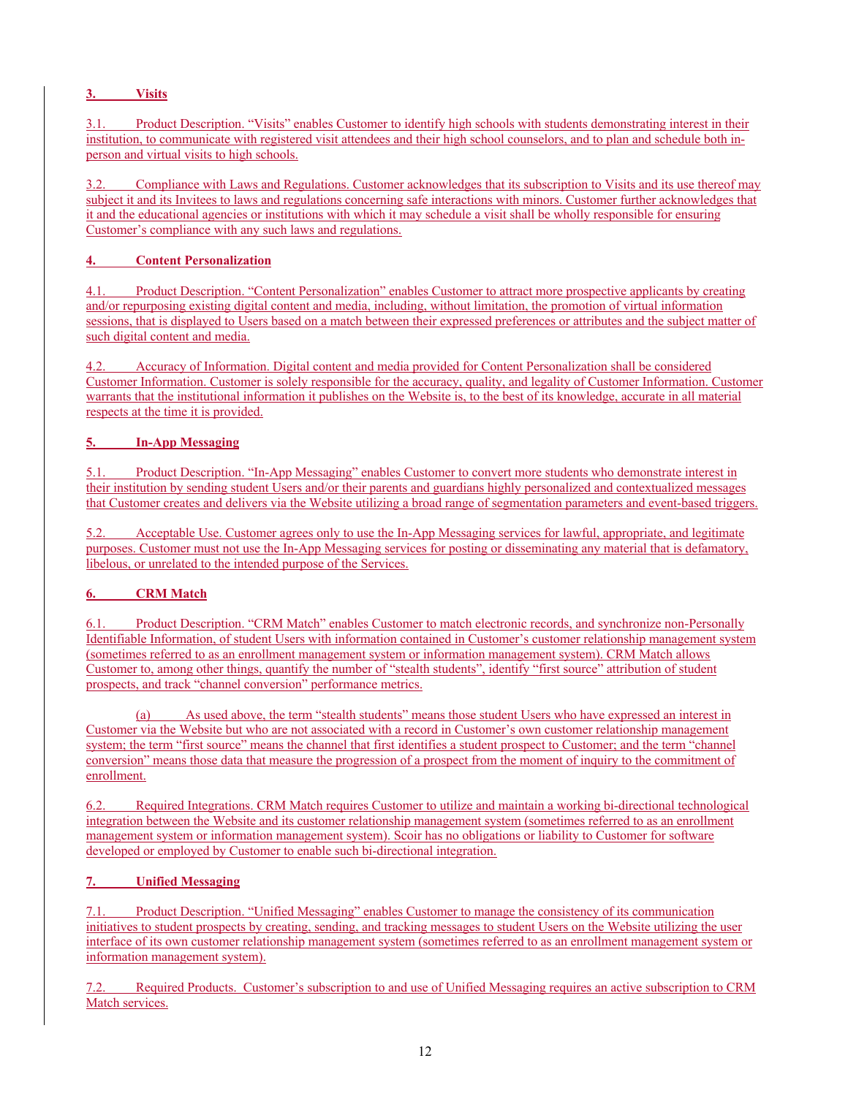# **3. Visits**

3.1. Product Description. "Visits" enables Customer to identify high schools with students demonstrating interest in their institution, to communicate with registered visit attendees and their high school counselors, and to plan and schedule both inperson and virtual visits to high schools.

3.2. Compliance with Laws and Regulations. Customer acknowledges that its subscription to Visits and its use thereof may subject it and its Invitees to laws and regulations concerning safe interactions with minors. Customer further acknowledges that it and the educational agencies or institutions with which it may schedule a visit shall be wholly responsible for ensuring Customer's compliance with any such laws and regulations.

# **4. Content Personalization**

4.1. Product Description. "Content Personalization" enables Customer to attract more prospective applicants by creating and/or repurposing existing digital content and media, including, without limitation, the promotion of virtual information sessions, that is displayed to Users based on a match between their expressed preferences or attributes and the subject matter of such digital content and media.

4.2. Accuracy of Information. Digital content and media provided for Content Personalization shall be considered Customer Information. Customer is solely responsible for the accuracy, quality, and legality of Customer Information. Customer warrants that the institutional information it publishes on the Website is, to the best of its knowledge, accurate in all material respects at the time it is provided.

# **5. In-App Messaging**

5.1. Product Description. "In-App Messaging" enables Customer to convert more students who demonstrate interest in their institution by sending student Users and/or their parents and guardians highly personalized and contextualized messages that Customer creates and delivers via the Website utilizing a broad range of segmentation parameters and event-based triggers.

5.2. Acceptable Use. Customer agrees only to use the In-App Messaging services for lawful, appropriate, and legitimate purposes. Customer must not use the In-App Messaging services for posting or disseminating any material that is defamatory, libelous, or unrelated to the intended purpose of the Services.

## **6. CRM Match**

6.1. Product Description. "CRM Match" enables Customer to match electronic records, and synchronize non-Personally Identifiable Information, of student Users with information contained in Customer's customer relationship management system (sometimes referred to as an enrollment management system or information management system). CRM Match allows Customer to, among other things, quantify the number of "stealth students", identify "first source" attribution of student prospects, and track "channel conversion" performance metrics.

(a) As used above, the term "stealth students" means those student Users who have expressed an interest in Customer via the Website but who are not associated with a record in Customer's own customer relationship management system; the term "first source" means the channel that first identifies a student prospect to Customer; and the term "channel conversion" means those data that measure the progression of a prospect from the moment of inquiry to the commitment of enrollment.

6.2. Required Integrations. CRM Match requires Customer to utilize and maintain a working bi-directional technological integration between the Website and its customer relationship management system (sometimes referred to as an enrollment management system or information management system). Scoir has no obligations or liability to Customer for software developed or employed by Customer to enable such bi-directional integration.

## **7. Unified Messaging**

7.1. Product Description. "Unified Messaging" enables Customer to manage the consistency of its communication initiatives to student prospects by creating, sending, and tracking messages to student Users on the Website utilizing the user interface of its own customer relationship management system (sometimes referred to as an enrollment management system or information management system).

7.2. Required Products. Customer's subscription to and use of Unified Messaging requires an active subscription to CRM Match services.